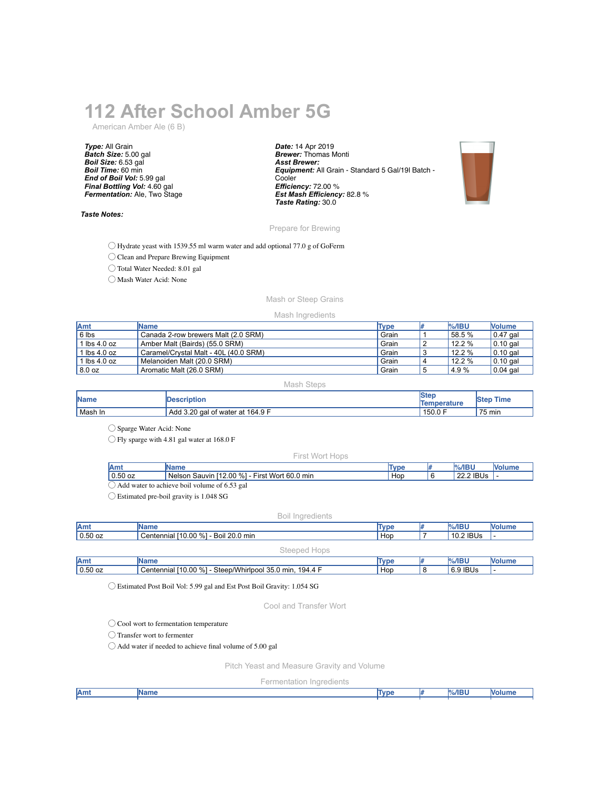# **112 After School Amber 5G**

American Amber Ale (6 B)

*Type:* All Grain *Batch Size:* 5.00 gal *Boil Size:* 6.53 gal *Boil Time:* 60 min *End of Boil Vol:* 5.99 gal *Final Bottling Vol:* 4.60 gal *Fermentation:* Ale, Two Stage

*Taste Notes:*

*Date:* 14 Apr 2019 *Brewer:* Thomas Monti *Asst Brewer: Equipment:* All Grain - Standard 5 Gal/19l Batch - **Cooler** *Efficiency:* 72.00 % *Est Mash Efficiency:* 82.8 % *Taste Rating:* 30.0



### Prepare for Brewing

◯ Hydrate yeast with 1539.55 ml warm water and add optional 77.0 g of GoFerm

◯ Clean and Prepare Brewing Equipment

◯ Total Water Needed: 8.01 gal

◯ Mash Water Acid: None

# Mash or Steep Grains

#### Mash Ingredients

| Amt                            | <b>IName</b>                          | Type  |    | $\frac{9}{6}$ /IBU | <b>Nolume</b>    |
|--------------------------------|---------------------------------------|-------|----|--------------------|------------------|
| 6 lbs                          | Canada 2-row brewers Malt (2.0 SRM)   | Grain |    | 58.5 %             | 10.47 gal        |
| 1 lbs 4.0 oz                   | Amber Malt (Bairds) (55.0 SRM)        | Grain |    | 12.2%              | $\vert$ 0.10 gal |
| 1 $\text{lbs}$ 4.0 oz          | Caramel/Crystal Malt - 40L (40.0 SRM) | Grain |    | 12.2%              | $\vert$ 0.10 gal |
| 1 $\text{lbs } 4.0 \text{ oz}$ | Melanoiden Malt (20.0 SRM)            | Grain | -4 | 12.2%              | $\vert$ 0.10 gal |
| 8.0 oz                         | Aromatic Malt (26.0 SRM)              | Grain |    | 4.9%               | $0.04$ gal       |

Mash Steps

| <b>Name</b> | <b>Description</b>               | ISter<br><b>Temperature</b> | Time<br><b>Step</b> |
|-------------|----------------------------------|-----------------------------|---------------------|
| Mash In     | Add 3.20 gal of water at 164.9 F | 150.0 F                     | 75 min              |

◯ Sparge Water Acid: None

◯ Fly sparge with 4.81 gal water at 168.0 F

## First Wort Hops

| <b>Amt</b>                                             | IName                                                     | <b>Type</b> |  | $\frac{9}{6}$ /IBU |  |  |
|--------------------------------------------------------|-----------------------------------------------------------|-------------|--|--------------------|--|--|
| $0.50$ oz                                              | i Sauvin [12.00 %] - I<br>- First Wort 60.0 min<br>Nelson | Hop         |  | 22.2 IBUs<br>122.2 |  |  |
| t water to achieve boil volume of 6.53<br>3 gal<br>Add |                                                           |             |  |                    |  |  |

◯ Estimated pre-boil gravity is 1.048 SG

#### Boil Ingredients

| Amt       | Name                                           | <b>Type</b> | $%$ /IBU  | <b>Volum</b> |
|-----------|------------------------------------------------|-------------|-----------|--------------|
| $0.50$ oz | 110.00 %<br><b>Boil 20.0 min</b><br>Centennial | Hop         | 10.2 IBUs |              |
|           | Steened<br>אטוס                                |             |           |              |

| <b>JAm</b>        | .<br>IN:                                                                                              | <b>VDE</b> | $./6$ <sup>n</sup> | w |
|-------------------|-------------------------------------------------------------------------------------------------------|------------|--------------------|---|
| $0.50 \text{ oz}$ | $^{\circ}$ %1.<br><b>Mhin.</b><br>' Q4<br>.00<br>entennial<br>min.<br>າບບເ<br>Steet.<br>◡▭<br>$\cdot$ | Hoc        | IDUS               |   |

◯ Estimated Post Boil Vol: 5.99 gal and Est Post Boil Gravity: 1.054 SG

Cool and Transfer Wort

◯ Cool wort to fermentation temperature

◯ Transfer wort to fermenter

 $\bigcirc$  Add water if needed to achieve final volume of 5.00 gal

Pitch Yeast and Measure Gravity and Volume

Fermentation Ingredients

| Amt | <b>IName</b> | Type | %/IBU | <b>Nolun</b> |
|-----|--------------|------|-------|--------------|
|     |              |      |       |              |